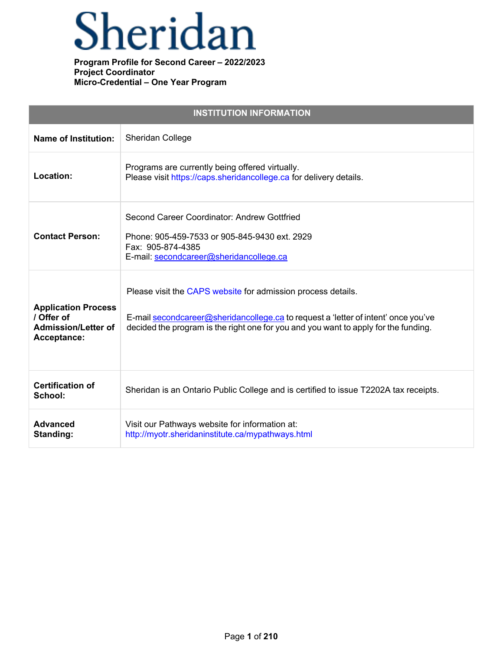## Sheridan

|                                                                                       | <b>INSTITUTION INFORMATION</b>                                                                                                                                                                                                            |
|---------------------------------------------------------------------------------------|-------------------------------------------------------------------------------------------------------------------------------------------------------------------------------------------------------------------------------------------|
| <b>Name of Institution:</b>                                                           | Sheridan College                                                                                                                                                                                                                          |
| Location:                                                                             | Programs are currently being offered virtually.<br>Please visit https://caps.sheridancollege.ca for delivery details.                                                                                                                     |
| <b>Contact Person:</b>                                                                | Second Career Coordinator: Andrew Gottfried<br>Phone: 905-459-7533 or 905-845-9430 ext. 2929<br>Fax: 905-874-4385<br>E-mail: secondcareer@sheridancollege.ca                                                                              |
| <b>Application Process</b><br>/ Offer of<br><b>Admission/Letter of</b><br>Acceptance: | Please visit the CAPS website for admission process details.<br>E-mail secondcareer@sheridancollege.ca to request a 'letter of intent' once you've<br>decided the program is the right one for you and you want to apply for the funding. |
| <b>Certification of</b><br>School:                                                    | Sheridan is an Ontario Public College and is certified to issue T2202A tax receipts.                                                                                                                                                      |
| <b>Advanced</b><br>Standing:                                                          | Visit our Pathways website for information at:<br>http://myotr.sheridaninstitute.ca/mypathways.html                                                                                                                                       |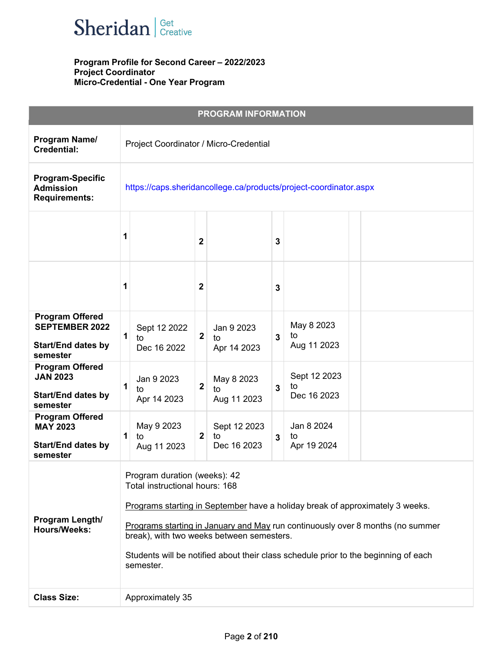

|                                                                                          |                                                                                                                                                                                                                                                                                                                                                                                    |                                                                   |                         | <b>PROGRAM INFORMATION</b>        |   |                                   |  |
|------------------------------------------------------------------------------------------|------------------------------------------------------------------------------------------------------------------------------------------------------------------------------------------------------------------------------------------------------------------------------------------------------------------------------------------------------------------------------------|-------------------------------------------------------------------|-------------------------|-----------------------------------|---|-----------------------------------|--|
| Program Name/<br><b>Credential:</b>                                                      |                                                                                                                                                                                                                                                                                                                                                                                    | Project Coordinator / Micro-Credential                            |                         |                                   |   |                                   |  |
| <b>Program-Specific</b><br><b>Admission</b><br><b>Requirements:</b>                      |                                                                                                                                                                                                                                                                                                                                                                                    | https://caps.sheridancollege.ca/products/project-coordinator.aspx |                         |                                   |   |                                   |  |
|                                                                                          | 1                                                                                                                                                                                                                                                                                                                                                                                  |                                                                   | 2                       |                                   | 3 |                                   |  |
|                                                                                          | 1                                                                                                                                                                                                                                                                                                                                                                                  |                                                                   | $\mathbf 2$             |                                   | 3 |                                   |  |
| <b>Program Offered</b><br><b>SEPTEMBER 2022</b><br><b>Start/End dates by</b><br>semester | 1<br>to                                                                                                                                                                                                                                                                                                                                                                            | Sept 12 2022<br>Dec 16 2022                                       | $\overline{\mathbf{2}}$ | Jan 9 2023<br>to<br>Apr 14 2023   | 3 | May 8 2023<br>to<br>Aug 11 2023   |  |
| <b>Program Offered</b><br><b>JAN 2023</b><br><b>Start/End dates by</b><br>semester       | 1<br>to                                                                                                                                                                                                                                                                                                                                                                            | Jan 9 2023<br>Apr 14 2023                                         | $\mathbf{2}$            | May 8 2023<br>to<br>Aug 11 2023   | 3 | Sept 12 2023<br>to<br>Dec 16 2023 |  |
| <b>Program Offered</b><br><b>MAY 2023</b><br><b>Start/End dates by</b><br>semester       | 1<br>to                                                                                                                                                                                                                                                                                                                                                                            | May 9 2023<br>Aug 11 2023                                         | $\mathbf{2}$            | Sept 12 2023<br>to<br>Dec 16 2023 | 3 | Jan 8 2024<br>to<br>Apr 19 2024   |  |
| Program Length/<br><b>Hours/Weeks:</b>                                                   | Program duration (weeks): 42<br>Total instructional hours: 168<br>Programs starting in September have a holiday break of approximately 3 weeks.<br>Programs starting in January and May run continuously over 8 months (no summer<br>break), with two weeks between semesters.<br>Students will be notified about their class schedule prior to the beginning of each<br>semester. |                                                                   |                         |                                   |   |                                   |  |
| <b>Class Size:</b>                                                                       |                                                                                                                                                                                                                                                                                                                                                                                    | Approximately 35                                                  |                         |                                   |   |                                   |  |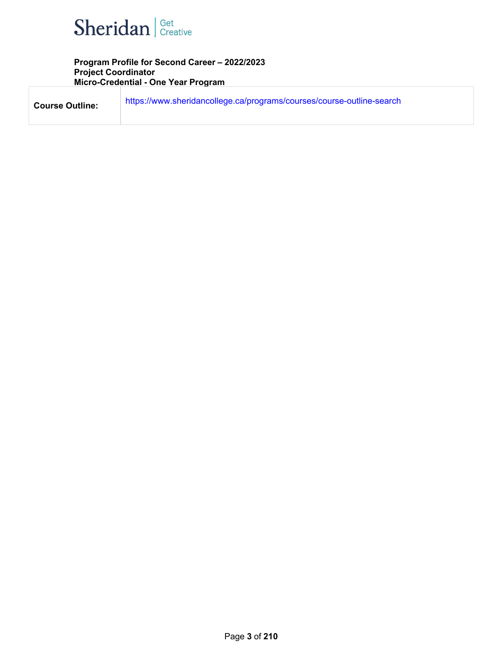

| <b>Course Outline:</b> | https://www.sheridancollege.ca/programs/courses/course-outline-search |
|------------------------|-----------------------------------------------------------------------|
|                        |                                                                       |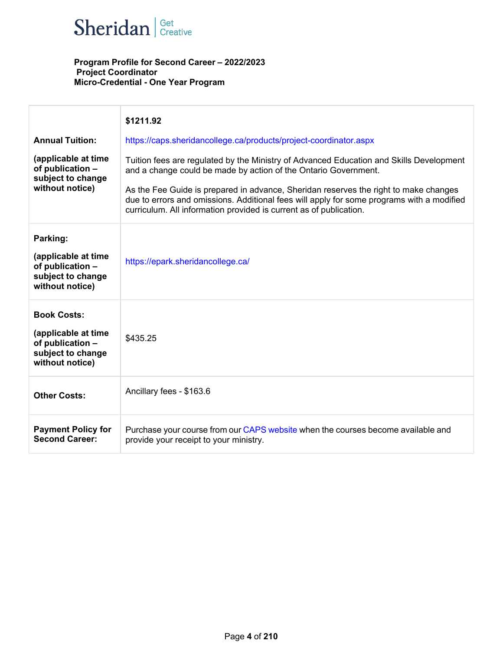

|                                                                                                       | \$1211.92                                                                                                                                                                                                                                                                                                                                                                                                             |
|-------------------------------------------------------------------------------------------------------|-----------------------------------------------------------------------------------------------------------------------------------------------------------------------------------------------------------------------------------------------------------------------------------------------------------------------------------------------------------------------------------------------------------------------|
| <b>Annual Tuition:</b>                                                                                | https://caps.sheridancollege.ca/products/project-coordinator.aspx                                                                                                                                                                                                                                                                                                                                                     |
| (applicable at time<br>of publication -<br>subject to change<br>without notice)                       | Tuition fees are regulated by the Ministry of Advanced Education and Skills Development<br>and a change could be made by action of the Ontario Government.<br>As the Fee Guide is prepared in advance, Sheridan reserves the right to make changes<br>due to errors and omissions. Additional fees will apply for some programs with a modified<br>curriculum. All information provided is current as of publication. |
| Parking:<br>(applicable at time<br>of publication -<br>subject to change<br>without notice)           | https://epark.sheridancollege.ca/                                                                                                                                                                                                                                                                                                                                                                                     |
| <b>Book Costs:</b><br>(applicable at time<br>of publication -<br>subject to change<br>without notice) | \$435.25                                                                                                                                                                                                                                                                                                                                                                                                              |
| <b>Other Costs:</b>                                                                                   | Ancillary fees - \$163.6                                                                                                                                                                                                                                                                                                                                                                                              |
| <b>Payment Policy for</b><br><b>Second Career:</b>                                                    | Purchase your course from our CAPS website when the courses become available and<br>provide your receipt to your ministry.                                                                                                                                                                                                                                                                                            |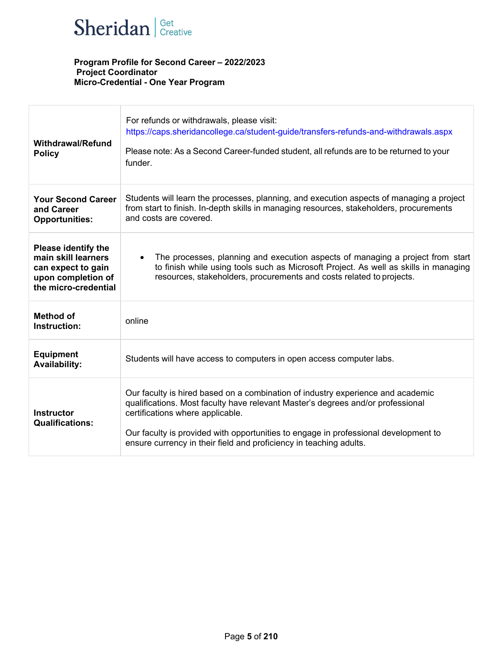

| <b>Withdrawal/Refund</b><br><b>Policy</b>                                                                             | For refunds or withdrawals, please visit:<br>https://caps.sheridancollege.ca/student-guide/transfers-refunds-and-withdrawals.aspx<br>Please note: As a Second Career-funded student, all refunds are to be returned to your<br>funder.                                                                                                                              |
|-----------------------------------------------------------------------------------------------------------------------|---------------------------------------------------------------------------------------------------------------------------------------------------------------------------------------------------------------------------------------------------------------------------------------------------------------------------------------------------------------------|
| <b>Your Second Career</b><br>and Career<br><b>Opportunities:</b>                                                      | Students will learn the processes, planning, and execution aspects of managing a project<br>from start to finish. In-depth skills in managing resources, stakeholders, procurements<br>and costs are covered.                                                                                                                                                       |
| <b>Please identify the</b><br>main skill learners<br>can expect to gain<br>upon completion of<br>the micro-credential | The processes, planning and execution aspects of managing a project from start<br>$\bullet$<br>to finish while using tools such as Microsoft Project. As well as skills in managing<br>resources, stakeholders, procurements and costs related to projects.                                                                                                         |
| <b>Method of</b><br>Instruction:                                                                                      | online                                                                                                                                                                                                                                                                                                                                                              |
| <b>Equipment</b><br><b>Availability:</b>                                                                              | Students will have access to computers in open access computer labs.                                                                                                                                                                                                                                                                                                |
| <b>Instructor</b><br><b>Qualifications:</b>                                                                           | Our faculty is hired based on a combination of industry experience and academic<br>qualifications. Most faculty have relevant Master's degrees and/or professional<br>certifications where applicable.<br>Our faculty is provided with opportunities to engage in professional development to<br>ensure currency in their field and proficiency in teaching adults. |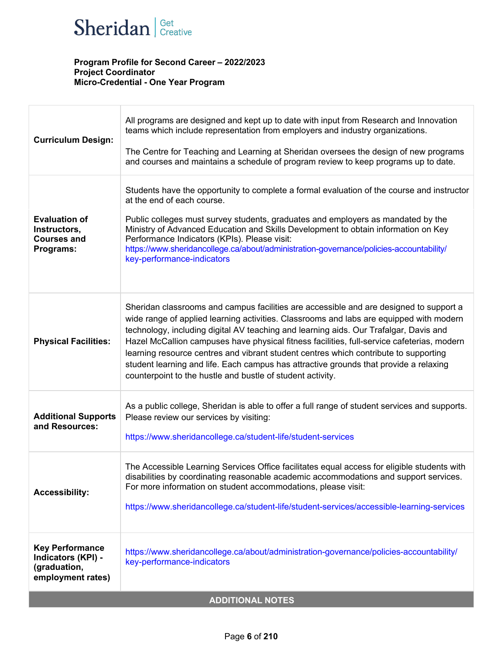

| <b>Curriculum Design:</b>                                                         | All programs are designed and kept up to date with input from Research and Innovation<br>teams which include representation from employers and industry organizations.<br>The Centre for Teaching and Learning at Sheridan oversees the design of new programs<br>and courses and maintains a schedule of program review to keep programs up to date.                                                                                                                                                                                                                                                                   |  |  |
|-----------------------------------------------------------------------------------|-------------------------------------------------------------------------------------------------------------------------------------------------------------------------------------------------------------------------------------------------------------------------------------------------------------------------------------------------------------------------------------------------------------------------------------------------------------------------------------------------------------------------------------------------------------------------------------------------------------------------|--|--|
| <b>Evaluation of</b><br>Instructors,<br><b>Courses and</b><br>Programs:           | Students have the opportunity to complete a formal evaluation of the course and instructor<br>at the end of each course.<br>Public colleges must survey students, graduates and employers as mandated by the<br>Ministry of Advanced Education and Skills Development to obtain information on Key<br>Performance Indicators (KPIs). Please visit:<br>https://www.sheridancollege.ca/about/administration-governance/policies-accountability/<br>key-performance-indicators                                                                                                                                             |  |  |
| <b>Physical Facilities:</b>                                                       | Sheridan classrooms and campus facilities are accessible and are designed to support a<br>wide range of applied learning activities. Classrooms and labs are equipped with modern<br>technology, including digital AV teaching and learning aids. Our Trafalgar, Davis and<br>Hazel McCallion campuses have physical fitness facilities, full-service cafeterias, modern<br>learning resource centres and vibrant student centres which contribute to supporting<br>student learning and life. Each campus has attractive grounds that provide a relaxing<br>counterpoint to the hustle and bustle of student activity. |  |  |
| <b>Additional Supports</b><br>and Resources:                                      | As a public college, Sheridan is able to offer a full range of student services and supports.<br>Please review our services by visiting:<br>https://www.sheridancollege.ca/student-life/student-services                                                                                                                                                                                                                                                                                                                                                                                                                |  |  |
| <b>Accessibility:</b>                                                             | The Accessible Learning Services Office facilitates equal access for eligible students with<br>disabilities by coordinating reasonable academic accommodations and support services.<br>For more information on student accommodations, please visit:<br>https://www.sheridancollege.ca/student-life/student-services/accessible-learning-services                                                                                                                                                                                                                                                                      |  |  |
| <b>Key Performance</b><br>Indicators (KPI) -<br>(graduation,<br>employment rates) | https://www.sheridancollege.ca/about/administration-governance/policies-accountability/<br>key-performance-indicators                                                                                                                                                                                                                                                                                                                                                                                                                                                                                                   |  |  |
| <b>ADDITIONAL NOTES</b>                                                           |                                                                                                                                                                                                                                                                                                                                                                                                                                                                                                                                                                                                                         |  |  |